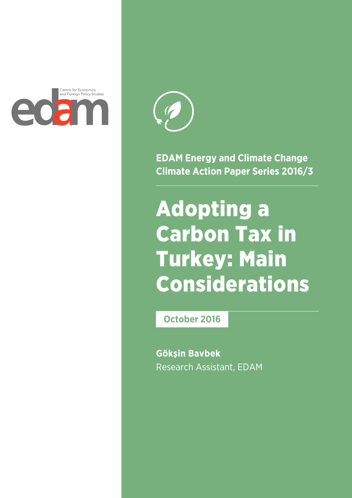



**EDAM Energy and Climate Change Climate Action Paper Series 2016/3**

# Adopting a Carbon Tax in Turkey: Main Considerations

**October 2016**

**Gökşin Bavbek** Research Assistant, EDAM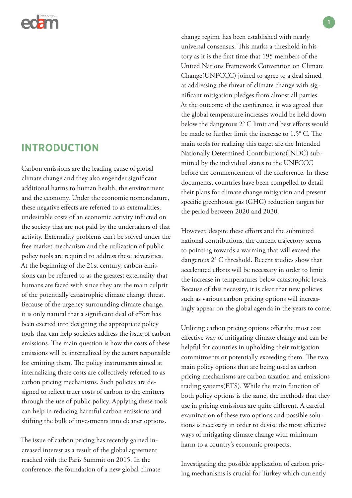

### **INTRODUCTION**

Carbon emissions are the leading cause of global climate change and they also engender significant additional harms to human health, the environment and the economy. Under the economic nomenclature, these negative effects are referred to as externalities, undesirable costs of an economic activity inflicted on the society that are not paid by the undertakers of that activity. Externality problems can't be solved under the free market mechanism and the utilization of public policy tools are required to address these adversities. At the beginning of the 21st century, carbon emissions can be referred to as the greatest externality that humans are faced with since they are the main culprit of the potentially catastrophic climate change threat. Because of the urgency surrounding climate change, it is only natural that a significant deal of effort has been exerted into designing the appropriate policy tools that can help societies address the issue of carbon emissions. The main question is how the costs of these emissions will be internalized by the actors responsible for emitting them. The policy instruments aimed at internalizing these costs are collectively referred to as carbon pricing mechanisms. Such policies are designed to reflect truer costs of carbon to the emitters through the use of public policy. Applying these tools can help in reducing harmful carbon emissions and shifting the bulk of investments into cleaner options.

The issue of carbon pricing has recently gained increased interest as a result of the global agreement reached with the Paris Summit on 2015. In the conference, the foundation of a new global climate

change regime has been established with nearly universal consensus. This marks a threshold in history as it is the first time that 195 members of the United Nations Framework Convention on Climate Change(UNFCCC) joined to agree to a deal aimed at addressing the threat of climate change with significant mitigation pledges from almost all parties. At the outcome of the conference, it was agreed that the global temperature increases would be held down below the dangerous 2° C limit and best efforts would be made to further limit the increase to 1.5° C. The main tools for realizing this target are the Intended Nationally Determined Contributions(INDC) submitted by the individual states to the UNFCCC before the commencement of the conference. In these documents, countries have been compelled to detail their plans for climate change mitigation and present specific greenhouse gas (GHG) reduction targets for the period between 2020 and 2030.

However, despite these efforts and the submitted national contributions, the current trajectory seems to pointing towards a warming that will exceed the dangerous 2° C threshold. Recent studies show that accelerated efforts will be necessary in order to limit the increase in temperatures below catastrophic levels. Because of this necessity, it is clear that new policies such as various carbon pricing options will increasingly appear on the global agenda in the years to come.

Utilizing carbon pricing options offer the most cost effective way of mitigating climate change and can be helpful for countries in upholding their mitigation commitments or potentially exceeding them. The two main policy options that are being used as carbon pricing mechanisms are carbon taxation and emissions trading systems(ETS). While the main function of both policy options is the same, the methods that they use in pricing emissions are quite different. A careful examination of these two options and possible solutions is necessary in order to devise the most effective ways of mitigating climate change with minimum harm to a country's economic prospects.

Investigating the possible application of carbon pricing mechanisms is crucial for Turkey which currently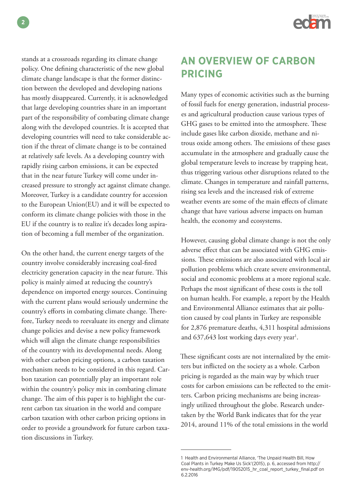

stands at a crossroads regarding its climate change policy. One defining characteristic of the new global climate change landscape is that the former distinction between the developed and developing nations has mostly disappeared. Currently, it is acknowledged that large developing countries share in an important part of the responsibility of combating climate change along with the developed countries. It is accepted that developing countries will need to take considerable action if the threat of climate change is to be contained at relatively safe levels. As a developing country with rapidly rising carbon emissions, it can be expected that in the near future Turkey will come under increased pressure to strongly act against climate change. Moreover, Turkey is a candidate country for accession to the European Union(EU) and it will be expected to conform its climate change policies with those in the EU if the country is to realize it's decades long aspiration of becoming a full member of the organization.

On the other hand, the current energy targets of the country involve considerably increasing coal-fired electricity generation capacity in the near future. This policy is mainly aimed at reducing the country's dependence on imported energy sources. Continuing with the current plans would seriously undermine the country's efforts in combating climate change. Therefore, Turkey needs to reevaluate its energy and climate change policies and devise a new policy framework which will align the climate change responsibilities of the country with its developmental needs. Along with other carbon pricing options, a carbon taxation mechanism needs to be considered in this regard. Carbon taxation can potentially play an important role within the country's policy mix in combating climate change. The aim of this paper is to highlight the current carbon tax situation in the world and compare carbon taxation with other carbon pricing options in order to provide a groundwork for future carbon taxation discussions in Turkey.

# **AN OVERVIEW OF CARBON PRICING**

Many types of economic activities such as the burning of fossil fuels for energy generation, industrial processes and agricultural production cause various types of GHG gases to be emitted into the atmosphere. These include gases like carbon dioxide, methane and nitrous oxide among others. The emissions of these gases accumulate in the atmosphere and gradually cause the global temperature levels to increase by trapping heat, thus triggering various other disruptions related to the climate. Changes in temperature and rainfall patterns, rising sea levels and the increased risk of extreme weather events are some of the main effects of climate change that have various adverse impacts on human health, the economy and ecosystems.

However, causing global climate change is not the only adverse effect that can be associated with GHG emissions. These emissions are also associated with local air pollution problems which create severe environmental, social and economic problems at a more regional scale. Perhaps the most significant of these costs is the toll on human health. For example, a report by the Health and Environmental Alliance estimates that air pollution caused by coal plants in Turkey are responsible for 2,876 premature deaths, 4,311 hospital admissions and 637,643 lost working days every year<sup>1</sup>.

These significant costs are not internalized by the emitters but inflicted on the society as a whole. Carbon pricing is regarded as the main way by which truer costs for carbon emissions can be reflected to the emitters. Carbon pricing mechanisms are being increasingly utilized throughout the globe. Research undertaken by the World Bank indicates that for the year 2014, around 11% of the total emissions in the world

<sup>1</sup> Health and Environmental Alliance, 'The Unpaid Health Bill, How Coal Plants in Turkey Make Us Sick'(2015), p. 6, accessed from http:// env-health.org/IMG/pdf/19052015\_hr\_coal\_report\_turkey\_final.pdf on 6.2.2016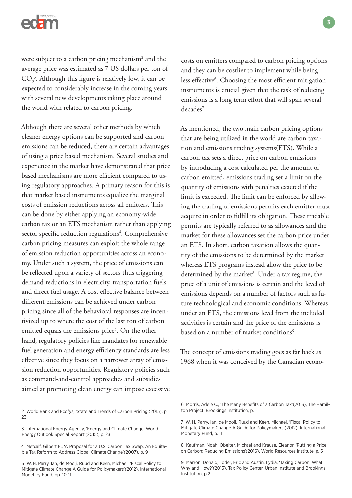

were subject to a carbon pricing mechanism<sup>2</sup> and the average price was estimated as 7 US dollars per ton of  $\mathrm{CO}_2^3$ . Although this figure is relatively low, it can be expected to considerably increase in the coming years with several new developments taking place around the world with related to carbon pricing.

Although there are several other methods by which cleaner energy options can be supported and carbon emissions can be reduced, there are certain advantages of using a price based mechanism. Several studies and experience in the market have demonstrated that price based mechanisms are more efficient compared to using regulatory approaches. A primary reason for this is that market based instruments equalize the marginal costs of emission reductions across all emitters. This can be done by either applying an economy-wide carbon tax or an ETS mechanism rather than applying sector specific reduction regulations<sup>4</sup>. Comprehensive carbon pricing measures can exploit the whole range of emission reduction opportunities across an economy. Under such a system, the price of emissions can be reflected upon a variety of sectors thus triggering demand reductions in electricity, transportation fuels and direct fuel usage. A cost effective balance between different emissions can be achieved under carbon pricing since all of the behavioral responses are incentivized up to where the cost of the last ton of carbon emitted equals the emissions price<sup>5</sup>. On the other hand, regulatory policies like mandates for renewable fuel generation and energy efficiency standards are less effective since they focus on a narrower array of emission reduction opportunities. Regulatory policies such as command-and-control approaches and subsidies aimed at promoting clean energy can impose excessive

costs on emitters compared to carbon pricing options and they can be costlier to implement while being less effective<sup>6</sup>. Choosing the most efficient mitigation instruments is crucial given that the task of reducing emissions is a long term effort that will span several decades<sup>7</sup>.

As mentioned, the two main carbon pricing options that are being utilized in the world are carbon taxation and emissions trading systems(ETS). While a carbon tax sets a direct price on carbon emissions by introducing a cost calculated per the amount of carbon emitted, emissions trading set a limit on the quantity of emissions with penalties exacted if the limit is exceeded. The limit can be enforced by allowing the trading of emissions permits each emitter must acquire in order to fulfill its obligation. These tradable permits are typically referred to as allowances and the market for these allowances set the carbon price under an ETS. In short, carbon taxation allows the quantity of the emissions to be determined by the market whereas ETS programs instead allow the price to be determined by the market<sup>8</sup>. Under a tax regime, the price of a unit of emissions is certain and the level of emissions depends on a number of factors such as future technological and economic conditions. Whereas under an ETS, the emissions level from the included activities is certain and the price of the emissions is based on a number of market conditions<sup>9</sup>.

The concept of emissions trading goes as far back as 1968 when it was conceived by the Canadian econo-

<sup>2</sup> World Bank and Ecofys, 'State and Trends of Carbon Pricing'(2015), p. 23

<sup>3</sup> International Energy Agency, 'Energy and Climate Change, World Energy Outlook Special Report'(2015), p. 23

<sup>4</sup> Metcalf, Gilbert E., 'A Proposal for a U.S. Carbon Tax Swap, An Equitable Tax Reform to Address Global Climate Change'(2007), p. 9

<sup>5</sup> W. H. Parry, Ian, de Mooij, Ruud and Keen, Michael, 'Fiscal Policy to Mitigate Climate Change A Guide for Policymakers'(2012), International Monetary Fund, pp. 10-11

<sup>6</sup> Morris, Adele C., 'The Many Benefits of a Carbon Tax'(2013), The Hamilton Project, Brookings Institution, p. 1

<sup>7</sup> W. H. Parry, Ian, de Mooij, Ruud and Keen, Michael, 'Fiscal Policy to Mitigate Climate Change A Guide for Policymakers'(2012), International Monetary Fund, p. 11

<sup>8</sup> Kaufman, Noah, Obeiter, Michael and Krause, Eleanor, 'Putting a Price on Carbon: Reducing Emissions'(2016), World Resources Institute, p. 5

<sup>9</sup> Marron, Donald, Toder, Eric and Austin, Lydia, 'Taxing Carbon: What, Why and How?'(2015), Tax Policy Center, Urban Institute and Brookings Institution, p.2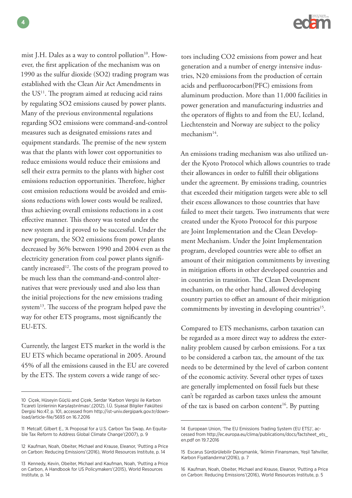mist J.H. Dales as a way to control pollution<sup>10</sup>. However, the first application of the mechanism was on 1990 as the sulfur dioxide (SO2) trading program was established with the Clean Air Act Amendments in the  $US<sup>11</sup>$ . The program aimed at reducing acid rains by regulating SO2 emissions caused by power plants. Many of the previous environmental regulations regarding SO2 emissions were command-and-control measures such as designated emissions rates and equipment standards. The premise of the new system was that the plants with lower cost opportunities to reduce emissions would reduce their emissions and sell their extra permits to the plants with higher cost emissions reduction opportunities. Therefore, higher cost emission reductions would be avoided and emissions reductions with lower costs would be realized, thus achieving overall emissions reductions in a cost effective manner. This theory was tested under the new system and it proved to be successful. Under the new program, the SO2 emissions from power plants decreased by 36% between 1990 and 2004 even as the electricity generation from coal power plants significantly increased<sup>12</sup>. The costs of the program proved to be much less than the command-and-control alternatives that were previously used and also less than the initial projections for the new emissions trading system<sup>13</sup>. The success of the program helped pave the way for other ETS programs, most significantly the EU-ETS.

Currently, the largest ETS market in the world is the EU ETS which became operational in 2005. Around 45% of all the emissions caused in the EU are covered by the ETS. The system covers a wide range of sec-

tors including CO2 emissions from power and heat generation and a number of energy intensive industries, N20 emissions from the production of certain acids and perfluorocarbon(PFC) emissions from aluminum production. More than 11,000 facilities in power generation and manufacturing industries and the operators of flights to and from the EU, Iceland, Liechtenstein and Norway are subject to the policy mechanism14.

An emissions trading mechanism was also utilized under the Kyoto Protocol which allows countries to trade their allowances in order to fulfill their obligations under the agreement. By emissions trading, countries that exceeded their mitigation targets were able to sell their excess allowances to those countries that have failed to meet their targets. Two instruments that were created under the Kyoto Protocol for this purpose are Joint Implementation and the Clean Development Mechanism. Under the Joint Implementation program, developed countries were able to offset an amount of their mitigation commitments by investing in mitigation efforts in other developed countries and in countries in transition. The Clean Development mechanism, on the other hand, allowed developing country parties to offset an amount of their mitigation commitments by investing in developing countries<sup>15</sup>.

Compared to ETS mechanisms, carbon taxation can be regarded as a more direct way to address the externality problem caused by carbon emissions. For a tax to be considered a carbon tax, the amount of the tax needs to be determined by the level of carbon content of the economic activity. Several other types of taxes are generally implemented on fossil fuels but these can't be regarded as carbon taxes unless the amount of the tax is based on carbon content<sup>16</sup>. By putting

**4**

<sup>10</sup> Çiçek, Hüseyin Güçlü and Çiçek, Serdar 'Karbon Vergisi ile Karbon Ticareti İzinlerinin Karşılaştırılması',(2012), İ.Ü. Siyasal Bilgiler Fakültesi Dergisi No:47, p. 101, accessed from http://ist-univ.dergipark.gov.tr/download/article-file/5693 on 16.7.2016

<sup>11</sup> Metcalf, Gilbert E., 'A Proposal for a U.S. Carbon Tax Swap, An Equitable Tax Reform to Address Global Climate Change'(2007), p. 9

<sup>12</sup> Kaufman, Noah, Obeiter, Michael and Krause, Eleanor, 'Putting a Price on Carbon: Reducing Emissions'(2016), World Resources Institute, p. 14

<sup>13</sup> Kennedy, Kevin, Obeiter, Michael and Kaufman, Noah, 'Putting a Price on Carbon, A Handbook for US Policymakers'(2015), World Resources Institute, p. 14

<sup>14</sup> European Union, 'The EU Emissions Trading System (EU ETS)', accessed from http://ec.europa.eu/clima/publications/docs/factsheet\_ets\_ en.pdf on 19.7.2016

<sup>15</sup> Escarus Sürdürülebilir Danışmanlık, 'İklimin Finansmanı, Yeşil Tahviller, Karbon Fiyatlandırma'(2016), p. 7

<sup>16</sup> Kaufman, Noah, Obeiter, Michael and Krause, Eleanor, 'Putting a Price on Carbon: Reducing Emissions'(2016), World Resources Institute, p. 5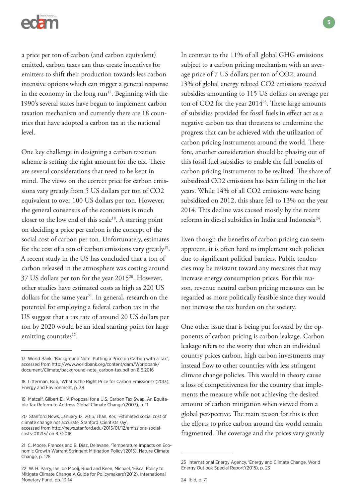

a price per ton of carbon (and carbon equivalent) emitted, carbon taxes can thus create incentives for emitters to shift their production towards less carbon intensive options which can trigger a general response in the economy in the long  $run^{17}$ . Beginning with the 1990's several states have begun to implement carbon taxation mechanism and currently there are 18 countries that have adopted a carbon tax at the national level.

One key challenge in designing a carbon taxation scheme is setting the right amount for the tax. There are several considerations that need to be kept in mind. The views on the correct price for carbon emissions vary greatly from 5 US dollars per ton of CO2 equivalent to over 100 US dollars per ton. However, the general consensus of the economists is much closer to the low end of this scale<sup>18</sup>. A starting point on deciding a price per carbon is the concept of the social cost of carbon per ton. Unfortunately, estimates for the cost of a ton of carbon emissions vary greatly<sup>19</sup>. A recent study in the US has concluded that a ton of carbon released in the atmosphere was costing around 37 US dollars per ton for the year 201520. However, other studies have estimated costs as high as 220 US dollars for the same year<sup>21</sup>. In general, research on the potential for employing a federal carbon tax in the US suggest that a tax rate of around 20 US dollars per ton by 2020 would be an ideal starting point for large emitting countries<sup>22</sup>.

In contrast to the 11% of all global GHG emissions subject to a carbon pricing mechanism with an average price of 7 US dollars per ton of CO2, around 13% of global energy related CO2 emissions received subsidies amounting to 115 US dollars on average per ton of CO2 for the year 2014<sup>23</sup>. These large amounts of subsidies provided for fossil fuels in effect act as a negative carbon tax that threatens to undermine the progress that can be achieved with the utilization of carbon pricing instruments around the world. Therefore, another consideration should be phasing out of this fossil fuel subsidies to enable the full benefits of carbon pricing instruments to be realized. The share of subsidized CO2 emissions has been falling in the last years. While 14% of all CO2 emissions were being subsidized on 2012, this share fell to 13% on the year 2014. This decline was caused mostly by the recent reforms in diesel subsidies in India and Indonesia24.

Even though the benefits of carbon pricing can seem apparent, it is often hard to implement such policies due to significant political barriers. Public tendencies may be resistant toward any measures that may increase energy consumption prices. For this reason, revenue neutral carbon pricing measures can be regarded as more politically feasible since they would not increase the tax burden on the society.

One other issue that is being put forward by the opponents of carbon pricing is carbon leakage. Carbon leakage refers to the worry that when an individual country prices carbon, high carbon investments may instead flow to other countries with less stringent climate change policies. This would in theory cause a loss of competitiveness for the country that implements the measure while not achieving the desired amount of carbon mitigation when viewed from a global perspective. The main reason for this is that the efforts to price carbon around the world remain fragmented. The coverage and the prices vary greatly

<sup>17</sup> World Bank, 'Background Note: Putting a Price on Carbon with a Tax', accessed from http://www.worldbank.org/content/dam/Worldbank/ document/Climate/background-note\_carbon-tax.pdf on 8.6.2016

<sup>18</sup> Litterman, Bob, 'What Is the Right Price for Carbon Emissions?'(2013), Energy and Environment, p. 38

<sup>19</sup> Metcalf, Gilbert E., 'A Proposal for a U.S. Carbon Tax Swap, An Equitable Tax Reform to Address Global Climate Change'(2007), p. 11

<sup>20</sup> Stanford News, January 12, 2015, Than, Ker, 'Estimated social cost of climate change not accurate, Stanford scientists say', accessed from http://news.stanford.edu/2015/01/12/emissions-socialcosts-011215/ on 8.7.2016

<sup>21</sup> C. Moore, Frances and B. Diaz, Delavane, 'Temperature Impacts on Economic Growth Warrant Stringent Mitigation Policy'(2015), Nature Climate Change, p. 128

<sup>22</sup> W. H. Parry, Ian, de Mooij, Ruud and Keen, Michael, 'Fiscal Policy to Mitigate Climate Change A Guide for Policymakers'(2012), International Monetary Fund, pp. 13-14

<sup>23</sup> International Energy Agency, 'Energy and Climate Change, World Energy Outlook Special Report'(2015), p. 23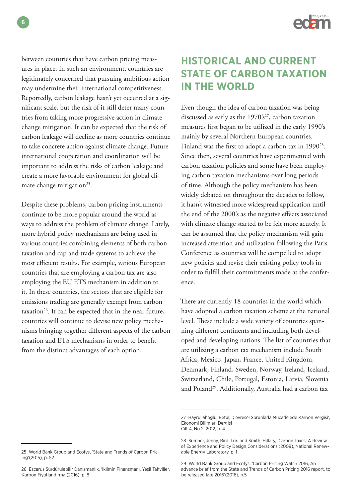

between countries that have carbon pricing measures in place. In such an environment, countries are legitimately concerned that pursuing ambitious action may undermine their international competitiveness. Reportedly, carbon leakage hasn't yet occurred at a significant scale, but the risk of it still deter many countries from taking more progressive action in climate change mitigation. It can be expected that the risk of carbon leakage will decline as more countries continue to take concrete action against climate change. Future international cooperation and coordination will be important to address the risks of carbon leakage and create a more favorable environment for global climate change mitigation<sup>25</sup>.

Despite these problems, carbon pricing instruments continue to be more popular around the world as ways to address the problem of climate change. Lately, more hybrid policy mechanisms are being used in various countries combining elements of both carbon taxation and cap and trade systems to achieve the most efficient results. For example, various European countries that are employing a carbon tax are also employing the EU ETS mechanism in addition to it. In these countries, the sectors that are eligible for emissions trading are generally exempt from carbon taxation $26$ . It can be expected that in the near future, countries will continue to devise new policy mechanisms bringing together different aspects of the carbon taxation and ETS mechanisms in order to benefit from the distinct advantages of each option.

#### 25 World Bank Group and Ecofys, 'State and Trends of Carbon Pricing'(2015), p. 52

# **HISTORICAL AND CURRENT STATE OF CARBON TAXATION IN THE WORLD**

Even though the idea of carbon taxation was being discussed as early as the  $1970's^{27}$ , carbon taxation measures first began to be utilized in the early 1990's mainly by several Northern European countries. Finland was the first to adopt a carbon tax in 1990<sup>28</sup>. Since then, several countries have experimented with carbon taxation policies and some have been employing carbon taxation mechanisms over long periods of time. Although the policy mechanism has been widely debated on throughout the decades to follow, it hasn't witnessed more widespread application until the end of the 2000's as the negative effects associated with climate change started to be felt more acutely. It can be assumed that the policy mechanism will gain increased attention and utilization following the Paris Conference as countries will be compelled to adopt new policies and revise their existing policy tools in order to fulfill their commitments made at the conference.

There are currently 18 countries in the world which have adopted a carbon taxation scheme at the national level. These include a wide variety of countries spanning different continents and including both developed and developing nations. The list of countries that are utilizing a carbon tax mechanism include South Africa, Mexico, Japan, France, United Kingdom, Denmark, Finland, Sweden, Norway, Ireland, Iceland, Switzerland, Chile, Portugal, Estonia, Latvia, Slovenia and Poland<sup>29</sup>. Additionally, Australia had a carbon tax

**6**

<sup>26</sup> Escarus Sürdürülebilir Danışmanlık, 'İklimin Finansmanı, Yeşil Tahviller, Karbon Fiyatlandırma'(2016), p. 8

<sup>27</sup> Hayrullahoğlu, Betül, 'Çevresel Sorunlarla Mücadelede Karbon Vergisi', Ekonomi Bilimleri Dergisi Cilt 4, No 2, 2012, p. 4

<sup>28</sup> Sumner, Jenny, Bird, Lori and Smith, Hillary, 'Carbon Taxes: A Review of Experience and Policy Design Considerations'(2009), National Renewable Energy Laboratory, p. 1

<sup>29</sup> World Bank Group and Ecofys, 'Carbon Pricing Watch 2016, An advance brief from the State and Trends of Carbon Pricing 2016 report, to be released late 2016'(2016), p.5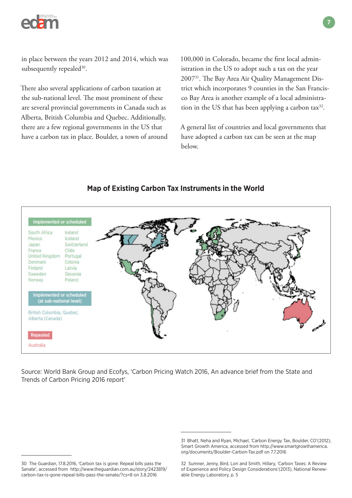

in place between the years 2012 and 2014, which was subsequently repealed<sup>30</sup>.

There also several applications of carbon taxation at the sub-national level. The most prominent of these are several provincial governments in Canada such as Alberta, British Columbia and Quebec. Additionally, there are a few regional governments in the US that have a carbon tax in place. Boulder, a town of around 100,000 in Colorado, became the first local administration in the US to adopt such a tax on the year 200731. The Bay Area Air Quality Management District which incorporates 9 counties in the San Francisco Bay Area is another example of a local administration in the US that has been applying a carbon  $\text{tax}^{32}$ .

A general list of countries and local governments that have adopted a carbon tax can be seen at the map below.



**Map of Existing Carbon Tax Instruments in the World**

Source: World Bank Group and Ecofys, 'Carbon Pricing Watch 2016, An advance brief from the State and Trends of Carbon Pricing 2016 report'

<sup>30</sup> The Guardian, 17.8.2016, 'Carbon tax is gone: Repeal bills pass the Senate', accessed from http://www.theguardian.com.au/story/2423819/ carbon-tax-is-gone-repeal-bills-pass-the-senate/?cs=8 on 3.8.2016

<sup>31</sup> Bhatt, Neha and Ryan, Michael, 'Carbon Energy Tax, Boulder, CO'(2012), Smart Growth America, accessed from http://www.smartgrowthamerica. org/documents/Boulder-Carbon-Tax.pdf on 7.7.2016

<sup>32</sup> Sumner, Jenny, Bird, Lori and Smith, Hillary, 'Carbon Taxes: A Review of Experience and Policy Design Considerations'(2013), National Renewable Energy Laboratory, p. 5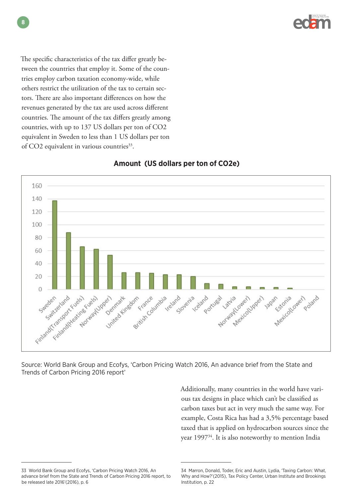

The specific characteristics of the tax differ greatly between the countries that employ it. Some of the countries employ carbon taxation economy-wide, while others restrict the utilization of the tax to certain sectors. There are also important differences on how the revenues generated by the tax are used across different countries. The amount of the tax differs greatly among countries, with up to 137 US dollars per ton of CO2 equivalent in Sweden to less than 1 US dollars per ton of CO2 equivalent in various countries<sup>33</sup>.



### **Amount (US dollars per ton of CO2e)**

Source: World Bank Group and Ecofys, 'Carbon Pricing Watch 2016, An advance brief from the State and Trends of Carbon Pricing 2016 report'

> Additionally, many countries in the world have various tax designs in place which can't be classified as carbon taxes but act in very much the same way. For example, Costa Rica has had a 3,5% percentage based taxed that is applied on hydrocarbon sources since the year 1997<sup>34</sup>. It is also noteworthy to mention India

<sup>33</sup> World Bank Group and Ecofys, 'Carbon Pricing Watch 2016, An advance brief from the State and Trends of Carbon Pricing 2016 report, to be released late 2016'(2016), p. 6

<sup>34</sup> Marron, Donald, Toder, Eric and Austin, Lydia, 'Taxing Carbon: What, Why and How?'(2015), Tax Policy Center, Urban Institute and Brookings Institution, p. 22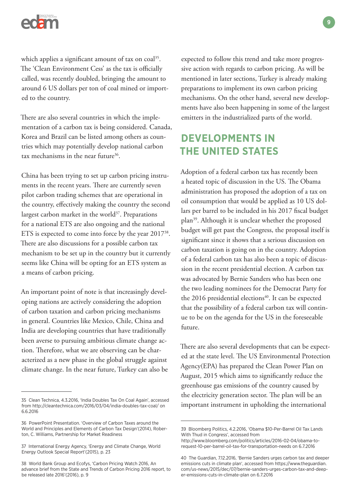

which applies a significant amount of tax on coal<sup>35</sup>. The 'Clean Environment Cess' as the tax is officially called, was recently doubled, bringing the amount to around 6 US dollars per ton of coal mined or imported to the country.

There are also several countries in which the implementation of a carbon tax is being considered. Canada, Korea and Brazil can be listed among others as countries which may potentially develop national carbon tax mechanisms in the near future $36$ .

China has been trying to set up carbon pricing instruments in the recent years. There are currently seven pilot carbon trading schemes that are operational in the country, effectively making the country the second largest carbon market in the world<sup>37</sup>. Preparations for a national ETS are also ongoing and the national ETS is expected to come into force by the year 201738. There are also discussions for a possible carbon tax mechanism to be set up in the country but it currently seems like China will be opting for an ETS system as a means of carbon pricing.

An important point of note is that increasingly developing nations are actively considering the adoption of carbon taxation and carbon pricing mechanisms in general. Countries like Mexico, Chile, China and India are developing countries that have traditionally been averse to pursuing ambitious climate change action. Therefore, what we are observing can be characterized as a new phase in the global struggle against climate change. In the near future, Turkey can also be

expected to follow this trend and take more progressive action with regards to carbon pricing. As will be mentioned in later sections, Turkey is already making preparations to implement its own carbon pricing mechanisms. On the other hand, several new developments have also been happening in some of the largest emitters in the industrialized parts of the world.

# **DEVELOPMENTS IN THE UNITED STATES**

Adoption of a federal carbon tax has recently been a heated topic of discussion in the US. The Obama administration has proposed the adoption of a tax on oil consumption that would be applied as 10 US dollars per barrel to be included in his 2017 fiscal budget plan39. Although it is unclear whether the proposed budget will get past the Congress, the proposal itself is significant since it shows that a serious discussion on carbon taxation is going on in the country. Adoption of a federal carbon tax has also been a topic of discussion in the recent presidential election. A carbon tax was advocated by Bernie Sanders who has been one the two leading nominees for the Democrat Party for the 2016 presidential elections<sup>40</sup>. It can be expected that the possibility of a federal carbon tax will continue to be on the agenda for the US in the foreseeable future.

There are also several developments that can be expected at the state level. The US Environmental Protection Agency(EPA) has prepared the Clean Power Plan on August, 2015 which aims to significantly reduce the greenhouse gas emissions of the country caused by the electricity generation sector. The plan will be an important instrument in upholding the international

<sup>35</sup> Clean Technica, 4.3.2016, 'India Doubles Tax On Coal Again', accessed from http://cleantechnica.com/2016/03/04/india-doubles-tax-coal/ on 6.6.2016

<sup>36</sup> PowerPoint Presentation. 'Overview of Carbon Taxes around the World and Principles and Elements of Carbon Tax Design'(2014), Roberton, C. Williams, Partnership for Market Readiness

<sup>37</sup> International Energy Agency, 'Energy and Climate Change, World Energy Outlook Special Report'(2015), p. 23

<sup>38</sup> World Bank Group and Ecofys, 'Carbon Pricing Watch 2016, An advance brief from the State and Trends of Carbon Pricing 2016 report, to be released late 2016'(2016), p. 9

<sup>39</sup> Bloomberg Politics, 4.2.2016, 'Obama \$10-Per-Barrel Oil Tax Lands With Thud in Congress', accessed from

http://www.bloomberg.com/politics/articles/2016-02-04/obama-torequest-10-per-barrel-oil-tax-for-transportation-needs on 6.7.2016

<sup>40</sup> The Guardian, 7.12.2016, 'Bernie Sanders urges carbon tax and deeper emissions cuts in climate plan', accessed from https://www.theguardian. com/us-news/2015/dec/07/bernie-sanders-urges-carbon-tax-and-deeper-emissions-cuts-in-climate-plan on 6.7.2016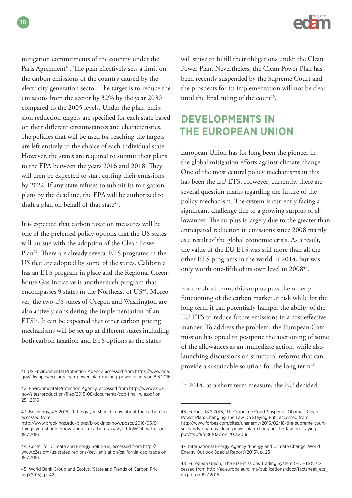

mitigation commitments of the country under the Paris Agreement<sup>41</sup>. The plan effectively sets a limit on the carbon emissions of the country caused by the electricity generation sector. The target is to reduce the emissions from the sector by 32% by the year 2030 compared to the 2005 levels. Under the plan, emission reduction targets are specified for each state based on their different circumstances and characteristics. The policies that will be used for reaching the targets are left entirely to the choice of each individual state. However, the states are required to submit their plans to the EPA between the years 2016 and 2018. They will then be expected to start cutting their emissions by 2022. If any state refuses to submit its mitigation plans by the deadline, the EPA will be authorized to draft a plan on behalf of that state<sup>42</sup>.

It is expected that carbon taxation measures will be one of the preferred policy options that the US states will pursue with the adoption of the Clean Power Plan<sup>43</sup>. There are already several ETS programs in the US that are adopted by some of the states. California has an ETS program in place and the Regional Greenhouse Gas Initiative is another such program that encompasses 9 states in the Northeast of US<sup>44</sup>. Moreover, the two US states of Oregon and Washington are also actively considering the implementation of an  $ETS<sup>45</sup>$ . It can be expected that other carbon pricing mechanisms will be set up at different states including both carbon taxation and ETS options as the states

will strive to fulfill their obligations under the Clean Power Plan. Nevertheless, the Clean Power Plan has been recently suspended by the Supreme Court and the prospects for its implementation will not be clear until the final ruling of the court<sup>46</sup>.

# **DEVELOPMENTS IN THE EUROPEAN UNION**

European Union has for long been the pioneer in the global mitigation efforts against climate change. One of the most central policy mechanisms in this has been the EU ETS. However, currently, there are several question marks regarding the future of the policy mechanism. The system is currently facing a significant challenge due to a growing surplus of allowances. The surplus is largely due to the greater than anticipated reduction in emissions since 2008 mainly as a result of the global economic crisis. As a result, the value of the EU ETS was still more than all the other ETS programs in the world in 2014, but was only worth one-fifth of its own level in 2008<sup>47</sup>.

For the short term, this surplus puts the orderly functioning of the carbon market at risk while for the long term it can potentially hamper the ability of the EU ETS to reduce future emissions in a cost effective manner. To address the problem, the European Commission has opted to postpone the auctioning of some of the allowances as an immediate action, while also launching discussions on structural reforms that can provide a sustainable solution for the long term<sup>48</sup>.

In 2014, as a short term measure, the EU decided

**10**

<sup>41</sup> US Environmental Protection Agency, accessed from https://www.epa. gov/cleanpowerplan/clean-power-plan-existing-power-plants on 8.6.2016

<sup>42</sup> Environmental Protection Agency, accessed from http://www2.epa. gov/sites/production/files/2015-08/documents/cpp-final-rule.pdf on 25.1.2016

<sup>43</sup> Brookings, 4.5.2016, '9 things you should know about the carbon tax', accessed from

http://www.brookings.edu/blogs/brookings-now/posts/2016/05/9 things-you-should-know-about-a-carbon-tax#.Vyt\_tifqWO4.twitter on 19.7.2016

<sup>44</sup> Center for Climate and Energy Solutions, accessed from http:// www.c2es.org/us-states-regions/key-legislation/california-cap-trade on 19.7.2016

<sup>45</sup> World Bank Group and Ecofys, 'State and Trends of Carbon Pricing'(2015), p. 42

<sup>46</sup> Forbes, 18.2.2016, 'The Supreme Court Suspends Obama's Clean Power Plan: Changing The Law On Staying Put', accessed from http://www.forbes.com/sites/uhenergy/2016/02/18/the-supreme-courtsuspends-obamas-clean-power-plan-changing-the-law-on-stayingput/#4bf9fe86f0a7 on 20.7.2016

<sup>47</sup> International Energy Agency, 'Energy and Climate Change, World Energy Outlook Special Report'(2015), p. 23

<sup>48</sup> European Union, 'The EU Emissions Trading System (EU ETS)', accessed from http://ec.europa.eu/clima/publications/docs/factsheet\_ets\_ en.pdf on 19.7.2016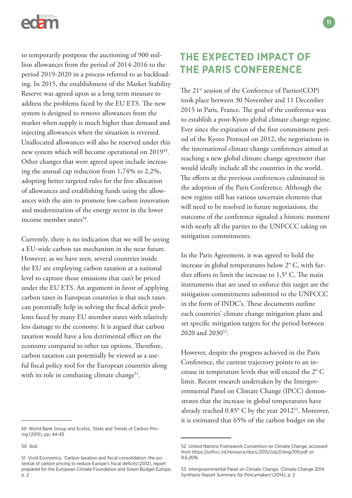

to temporarily postpone the auctioning of 900 million allowances from the period of 2014-2016 to the period 2019-2020 in a process referred to as backloading. In 2015, the establishment of the Market Stability Reserve was agreed upon as a long term measure to address the problems faced by the EU ETS. The new system is designed to remove allowances from the market when supply is much higher than demand and injecting allowances when the situation is reversed. Unallocated allowances will also be reserved under this new system which will become operational on 201949. Other changes that were agreed upon include increasing the annual cap reduction from 1,74% to 2,2%, adopting better targeted rules for the free allocation of allowances and establishing funds using the allowances with the aim to promote low-carbon innovation and modernization of the energy sector in the lower income member states<sup>50</sup>.

Currently, there is no indication that we will be seeing a EU-wide carbon tax mechanism in the near future. However, as we have seen, several countries inside the EU are employing carbon taxation at a national level to capture those emissions that can't be priced under the EU ETS. An argument in favor of applying carbon taxes in European countries is that such taxes can potentially help in solving the fiscal deficit problems faced by many EU member states with relatively less damage to the economy. It is argued that carbon taxation would have a less detrimental effect on the economy compared to other tax options. Therefore, carbon taxation can potentially be viewed as a useful fiscal policy tool for the European countries along with its role in combating climate change<sup>51</sup>.

## **THE EXPECTED IMPACT OF THE PARIS CONFERENCE**

The 21<sup>st</sup> session of the Conference of Parties(COP) took place between 30 November and 11 December 2015 in Paris, France. The goal of the conference was to establish a post-Kyoto global climate change regime. Ever since the expiration of the first commitment period of the Kyoto Protocol on 2012, the negotiations in the international climate change conferences aimed at reaching a new global climate change agreement that would ideally include all the countries in the world. The efforts at the previous conferences culminated in the adoption of the Paris Conference. Although the new regime still has various uncertain elements that will need to be resolved in future negotiations, the outcome of the conference signaled a historic moment with nearly all the parties to the UNFCCC taking on mitigation commitments.

In the Paris Agreement, it was agreed to hold the increase in global temperatures below 2° C, with further efforts to limit the increase to 1,5° C. The main instruments that are used to enforce this target are the mitigation commitments submitted to the UNFCCC in the form of INDC's. These documents outline each countries' climate change mitigation plans and set specific mitigation targets for the period between 2020 and 2030<sup>52</sup>.

However, despite the progress achieved in the Paris Conference, the current trajectory points to an increase in temperature levels that will exceed the 2° C limit. Recent research undertaken by the Intergovernmental Panel on Climate Change (IPCC) demonstrates that the increase in global temperatures have already reached 0.85° C by the year 201253. Moreover, it is estimated that 65% of the carbon budget on the

<sup>49</sup> World Bank Group and Ecofys, 'State and Trends of Carbon Pricing'(2015), pp. 44-45

<sup>50</sup> Ibid.

<sup>51</sup> Vivid Economics, 'Carbon taxation and fiscal consolidation: the potential of carbon pricing to reduce Europe's fiscal deficits'(2012), report prepared for the European Climate Foundation and Green Budget Europe, p. 2

<sup>52</sup> United Nations Framework Convention on Climate Change, accessed from https://unfccc.int/resource/docs/2015/cop21/eng/l09.pdf on 9.6.2016

<sup>53</sup> Intergovernmental Panel on Climate Change, 'Climate Change 2014 Synthesis Report Summary for Policymakers'(2014), p. 2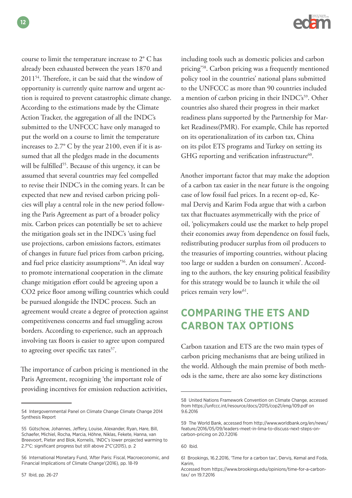course to limit the temperature increase to 2° C has already been exhausted between the years 1870 and 201154. Therefore, it can be said that the window of opportunity is currently quite narrow and urgent action is required to prevent catastrophic climate change. According to the estimations made by the Climate Action Tracker, the aggregation of all the INDC's submitted to the UNFCCC have only managed to put the world on a course to limit the temperature increases to 2.7° C by the year 2100, even if it is assumed that all the pledges made in the documents will be fulfilled<sup>55</sup>. Because of this urgency, it can be assumed that several countries may feel compelled to revise their INDC's in the coming years. It can be expected that new and revised carbon pricing policies will play a central role in the new period following the Paris Agreement as part of a broader policy mix. Carbon prices can potentially be set to achieve the mitigation goals set in the INDC's 'using fuel use projections, carbon emissions factors, estimates of changes in future fuel prices from carbon pricing, and fuel price elasticity assumptions'56. An ideal way to promote international cooperation in the climate change mitigation effort could be agreeing upon a CO2 price floor among willing countries which could be pursued alongside the INDC process. Such an agreement would create a degree of protection against competitiveness concerns and fuel smuggling across borders. According to experience, such an approach involving tax floors is easier to agree upon compared to agreeing over specific tax rates<sup>57</sup>.

The importance of carbon pricing is mentioned in the Paris Agreement, recognizing 'the important role of providing incentives for emission reduction activities,



including tools such as domestic policies and carbon pricing'58. Carbon pricing was a frequently mentioned policy tool in the countries' national plans submitted to the UNFCCC as more than 90 countries included a mention of carbon pricing in their INDC's<sup>59</sup>. Other countries also shared their progress in their market readiness plans supported by the Partnership for Market Readiness(PMR). For example, Chile has reported on its operationalization of its carbon tax, China on its pilot ETS programs and Turkey on setting its GHG reporting and verification infrastructure $60$ .

Another important factor that may make the adoption of a carbon tax easier in the near future is the ongoing case of low fossil fuel prices. In a recent op-ed, Kemal Derviş and Karim Foda argue that with a carbon tax that fluctuates asymmetrically with the price of oil, 'policymakers could use the market to help propel their economies away from dependence on fossil fuels, redistributing producer surplus from oil producers to the treasuries of importing countries, without placing too large or sudden a burden on consumers'. According to the authors, the key ensuring political feasibility for this strategy would be to launch it while the oil prices remain very low<sup>61</sup>.

# **COMPARING THE ETS AND CARBON TAX OPTIONS**

Carbon taxation and ETS are the two main types of carbon pricing mechanisms that are being utilized in the world. Although the main premise of both methods is the same, there are also some key distinctions

<sup>54</sup> Intergovernmental Panel on Climate Change Climate Change 2014 Synthesis Report

<sup>55</sup> Gütschow, Johannes, Jeffery, Louise, Alexander, Ryan, Hare, Bill, Schaefer, Michiel, Rocha, Marcia, Höhne, Niklas, Fekete, Hanna, van Breevoort, Pieter and Blok, Kornelis, 'INDC's lower projected warming to 2.7°C: significant progress but still above 2°C'(2015), p. 2

<sup>56</sup> International Monetary Fund, 'After Paris: Fiscal, Macroeconomic, and Financial Implications of Climate Change'(2016), pp. 18-19

<sup>58</sup> United Nations Framework Convention on Climate Change, accessed from https://unfccc.int/resource/docs/2015/cop21/eng/l09.pdf on 9.6.2016

<sup>59</sup> The World Bank, accessed from http://www.worldbank.org/en/news/ feature/2016/05/09/leaders-meet-in-lima-to-discuss-next-steps-oncarbon-pricing on 20.7.2016

<sup>60</sup> Ibid.

<sup>61</sup> Brookings, 16.2.2016, 'Time for a carbon tax', Derviş, Kemal and Foda, Karim,

Accessed from https://www.brookings.edu/opinions/time-for-a-carbontax/ on 19.7.2016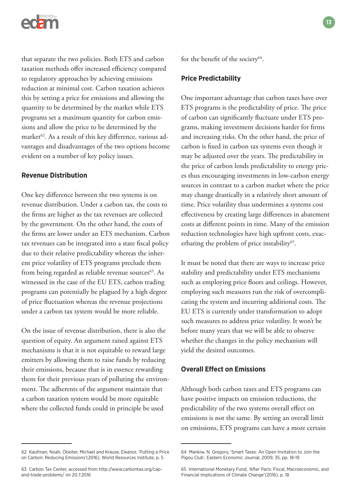

that separate the two policies. Both ETS and carbon taxation methods offer increased efficiency compared to regulatory approaches by achieving emissions reduction at minimal cost. Carbon taxation achieves this by setting a price for emissions and allowing the quantity to be determined by the market while ETS programs set a maximum quantity for carbon emissions and allow the price to be determined by the market $62$ . As a result of this key difference, various advantages and disadvantages of the two options become evident on a number of key policy issues.

#### **Revenue Distribution**

One key difference between the two systems is on revenue distribution. Under a carbon tax, the costs to the firms are higher as the tax revenues are collected by the government. On the other hand, the costs of the firms are lower under an ETS mechanism. Carbon tax revenues can be integrated into a state fiscal policy due to their relative predictability whereas the inherent price volatility of ETS programs preclude them from being regarded as reliable revenue sources<sup>63</sup>. As witnessed in the case of the EU ETS, carbon trading programs can potentially be plagued by a high degree of price fluctuation whereas the revenue projections under a carbon tax system would be more reliable.

On the issue of revenue distribution, there is also the question of equity. An argument raised against ETS mechanisms is that it is not equitable to reward large emitters by allowing them to raise funds by reducing their emissions, because that is in essence rewarding them for their previous years of polluting the environment. The adherents of the argument maintain that a carbon taxation system would be more equitable where the collected funds could in principle be used

62 Kaufman, Noah, Obeiter, Michael and Krause, Eleanor, 'Putting a Price on Carbon: Reducing Emissions'(2016), World Resources Institute, p. 5

for the benefit of the society<sup>64</sup>.

#### **Price Predictability**

One important advantage that carbon taxes have over ETS programs is the predictability of price. The price of carbon can significantly fluctuate under ETS programs, making investment decisions harder for firms and increasing risks. On the other hand, the price of carbon is fixed in carbon tax systems even though it may be adjusted over the years. The predictability in the price of carbon lends predictability to energy prices thus encouraging investments in low-carbon energy sources in contrast to a carbon market where the price may change drastically in a relatively short amount of time. Price volatility thus undermines a systems cost effectiveness by creating large differences in abatement costs at different points in time. Many of the emission reduction technologies have high upfront costs, exacerbating the problem of price instability<sup>65</sup>.

It must be noted that there are ways to increase price stability and predictability under ETS mechanisms such as employing price floors and ceilings. However, employing such measures run the risk of overcomplicating the system and incurring additional costs. The EU ETS is currently under transformation to adopt such measures to address price volatility. It won't be before many years that we will be able to observe whether the changes in the policy mechanism will yield the desired outcomes.

#### **Overall Effect on Emissions**

Although both carbon taxes and ETS programs can have positive impacts on emission reductions, the predictability of the two systems overall effect on emissions is not the same. By setting an overall limit on emissions, ETS programs can have a more certain

<sup>63</sup> Carbon Tax Center, accessed from http://www.carbontax.org/capand-trade-problems/ on 20.7.2016

<sup>64</sup> Mankiw, N. Gregory, 'Smart Taxes: An Open Invitation to Join the Pigou Club', Eastern Economic Journal, 2009, 35, pp. 18-19

<sup>65</sup> International Monetary Fund, 'After Paris: Fiscal, Macroeconomic, and Financial Implications of Climate Change'(2016), p. 18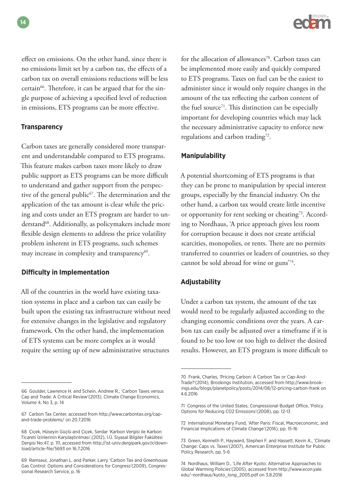effect on emissions. On the other hand, since there is no emissions limit set by a carbon tax, the effects of a carbon tax on overall emissions reductions will be less certain<sup>66</sup>. Therefore, it can be argued that for the single purpose of achieving a specified level of reduction in emissions, ETS programs can be more effective.

### **Transparency**

Carbon taxes are generally considered more transparent and understandable compared to ETS programs. This feature makes carbon taxes more likely to draw public support as ETS programs can be more difficult to understand and gather support from the perspective of the general public<sup>67</sup>. The determination and the application of the tax amount is clear while the pricing and costs under an ETS program are harder to understand<sup>68</sup>. Additionally, as policymakers include more flexible design elements to address the price volatility problem inherent in ETS programs, such schemes may increase in complexity and transparency<sup>69</sup>.

### **Difficulty in Implementation**

All of the countries in the world have existing taxation systems in place and a carbon tax can easily be built upon the existing tax infrastructure without need for extensive changes in the legislative and regulatory framework. On the other hand, the implementation of ETS systems can be more complex as it would require the setting up of new administrative structures

for the allocation of allowances<sup>70</sup>. Carbon taxes can be implemented more easily and quickly compared to ETS programs. Taxes on fuel can be the easiest to administer since it would only require changes in the amount of the tax reflecting the carbon content of the fuel source<sup> $71$ </sup>. This distinction can be especially important for developing countries which may lack the necessary administrative capacity to enforce new regulations and carbon trading<sup>72</sup>.

### **Manipulability**

A potential shortcoming of ETS programs is that they can be prone to manipulation by special interest groups, especially by the financial industry. On the other hand, a carbon tax would create little incentive or opportunity for rent seeking or cheating<sup>73</sup>. According to Nordhaus, 'A price approach gives less room for corruption because it does not create artificial scarcities, monopolies, or rents. There are no permits transferred to countries or leaders of countries, so they cannot be sold abroad for wine or guns'74.

### **Adjustability**

Under a carbon tax system, the amount of the tax would need to be regularly adjusted according to the changing economic conditions over the years. A carbon tax can easily be adjusted over a timeframe if it is found to be too low or too high to deliver the desired results. However, an ETS program is more difficult to

<sup>66</sup> Goulder, Lawrence H. and Schein, Andrew R., 'Carbon Taxes versus Cap and Trade: A Critical Review'(2013), Climate Change Economics, Volume 4, No 3, p. 14

<sup>67</sup> Carbon Tax Center, accessed from http://www.carbontax.org/capand-trade-problems/ on 20.7.2016

<sup>68</sup> Çiçek, Hüseyin Güçlü and Çiçek, Serdar 'Karbon Vergisi ile Karbon Ticareti İzinlerinin Karşılaştırılması',(2012), İ.Ü. Siyasal Bilgiler Fakültesi Dergisi No:47, p. 111, accessed from http://ist-univ.dergipark.gov.tr/download/article-file/5693 on 16.7.2016

<sup>69</sup> Ramseur, Jonathan L. and Parker, Larry 'Carbon Tax and Greenhouse Gas Control: Options and Considerations for Congress'(2009), Congressional Research Service, p. 16

<sup>70</sup> Frank, Charles, 'Pricing Carbon: A Carbon Tax or Cap-And-Trade?'(2014), Brookings Institution, accessed from http://www.brookings.edu/blogs/planetpolicy/posts/2014/08/12-pricing-carbon-frank on 4.6.2016

<sup>71</sup> Congress of the United States, Congressional Budget Office, 'Policy Options for Reducing CO2 Emissions'(2008), pp. 12-13

<sup>72</sup> International Monetary Fund, 'After Paris: Fiscal, Macroeconomic, and Financial Implications of Climate Change'(2016), pp. 15-16

<sup>73</sup> Green, Kenneth P., Hayward, Stephen F. and Hassett, Kevin A., 'Climate Change: Caps vs. Taxes'(2007), American Enterprise Institute for Public Policy Research, pp. 5-6

<sup>74</sup> Nordhaus, William D., 'Life After Kyoto: Alternative Approaches to Global Warming Policies'(2005), accessed from http://www.econ.yale. edu/~nordhaus/kyoto\_long\_2005.pdf on 3.8.2016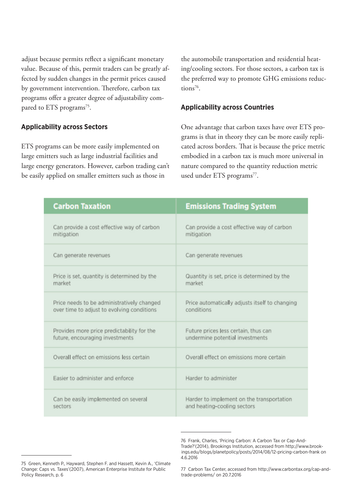adjust because permits reflect a significant monetary value. Because of this, permit traders can be greatly affected by sudden changes in the permit prices caused by government intervention. Therefore, carbon tax programs offer a greater degree of adjustability compared to ETS programs<sup>75</sup>.

### **Applicability across Sectors**

ETS programs can be more easily implemented on large emitters such as large industrial facilities and large energy generators. However, carbon trading can't be easily applied on smaller emitters such as those in

the automobile transportation and residential heating/cooling sectors. For those sectors, a carbon tax is the preferred way to promote GHG emissions reductions $76$ .

### **Applicability across Countries**

One advantage that carbon taxes have over ETS programs is that in theory they can be more easily replicated across borders. That is because the price metric embodied in a carbon tax is much more universal in nature compared to the quantity reduction metric used under ETS programs<sup>77</sup>.

| <b>Carbon Taxation</b>                      | <b>Emissions Trading System</b>                |
|---------------------------------------------|------------------------------------------------|
| Can provide a cost effective way of carbon  | Can provide a cost effective way of carbon     |
| mitigation                                  | mitigation                                     |
| Can generate revenues                       | Can generate revenues                          |
| Price is set, quantity is determined by the | Quantity is set, price is determined by the    |
| market                                      | market                                         |
| Price needs to be administratively changed  | Price automatically adjusts itself to changing |
| over time to adjust to evolving conditions  | conditions                                     |
| Provides more price predictability for the  | Future prices less certain, thus can           |
| future, encouraging investments             | undermine potential investments                |
| Overall effect on emissions less certain    | Overall effect on emissions more certain       |
| Easier to administer and enforce            | Harder to administer                           |
| Can be easily implemented on several        | Harder to implement on the transportation      |
| sectors                                     | and heating-cooling sectors                    |

<sup>76</sup> Frank, Charles, 'Pricing Carbon: A Carbon Tax or Cap-And-Trade?'(2014), Brookings Institution, accessed from http://www.brookings.edu/blogs/planetpolicy/posts/2014/08/12-pricing-carbon-frank on 4.6.2016

<sup>75</sup> Green, Kenneth P., Hayward, Stephen F. and Hassett, Kevin A., 'Climate Change: Caps vs. Taxes'(2007), American Enterprise Institute for Public Policy Research, p. 6

<sup>77</sup> Carbon Tax Center, accessed from http://www.carbontax.org/cap-andtrade-problems/ on 20.7.2016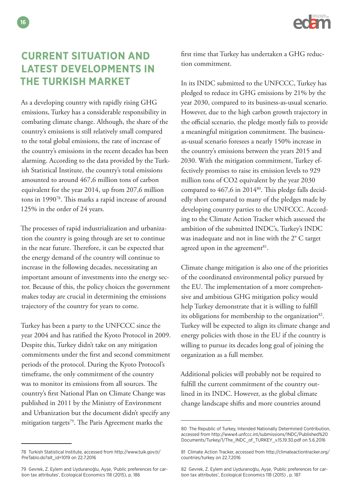

# **CURRENT SITUATION AND LATEST DEVELOPMENTS IN THE TURKISH MARKET**

As a developing country with rapidly rising GHG emissions, Turkey has a considerable responsibility in combating climate change. Although, the share of the country's emissions is still relatively small compared to the total global emissions, the rate of increase of the country's emissions in the recent decades has been alarming. According to the data provided by the Turkish Statistical Institute, the country's total emissions amounted to around 467,6 million tons of carbon equivalent for the year 2014, up from 207,6 million tons in 199078. This marks a rapid increase of around 125% in the order of 24 years.

The processes of rapid industrialization and urbanization the country is going through are set to continue in the near future. Therefore, it can be expected that the energy demand of the country will continue to increase in the following decades, necessitating an important amount of investments into the energy sector. Because of this, the policy choices the government makes today are crucial in determining the emissions trajectory of the country for years to come.

Turkey has been a party to the UNFCCC since the year 2004 and has ratified the Kyoto Protocol in 2009. Despite this, Turkey didn't take on any mitigation commitments under the first and second commitment periods of the protocol. During the Kyoto Protocol's timeframe, the only commitment of the country was to monitor its emissions from all sources. The country's first National Plan on Climate Change was published in 2011 by the Ministry of Environment and Urbanization but the document didn't specify any mitigation targets<sup>79</sup>. The Paris Agreement marks the

78 Turkish Statistical Institute, accessed from http://www.tuik.gov.tr/ PreTablo.do?alt\_id=1019 on 22.7.2016

first time that Turkey has undertaken a GHG reduction commitment.

In its INDC submitted to the UNFCCC, Turkey has pledged to reduce its GHG emissions by 21% by the year 2030, compared to its business-as-usual scenario. However, due to the high carbon growth trajectory in the official scenario, the pledge mostly fails to provide a meaningful mitigation commitment. The businessas-usual scenario foresees a nearly 150% increase in the country's emissions between the years 2015 and 2030. With the mitigation commitment, Turkey effectively promises to raise its emission levels to 929 million tons of CO2 equivalent by the year 2030 compared to 467,6 in 2014<sup>80</sup>. This pledge falls decidedly short compared to many of the pledges made by developing country parties to the UNFCCC. According to the Climate Action Tracker which assessed the ambition of the submitted INDC's, Turkey's INDC was inadequate and not in line with the 2° C target agreed upon in the agreement $81$ .

Climate change mitigation is also one of the priorities of the coordinated environmental policy pursued by the EU. The implementation of a more comprehensive and ambitious GHG mitigation policy would help Turkey demonstrate that it is willing to fulfill its obligations for membership to the organization $82$ . Turkey will be expected to align its climate change and energy policies with those in the EU if the country is willing to pursue its decades long goal of joining the organization as a full member.

Additional policies will probably not be required to fulfill the current commitment of the country outlined in its INDC. However, as the global climate change landscape shifts and more countries around

<sup>79</sup> Gevrek, Z. Eylem and Uyduranoğlu, Ayşe, 'Public preferences for carbon tax attributes', Ecological Economics 118 (2015), p. 186

<sup>80</sup> The Republic of Turkey, Intended Nationally Determined Contribution, accessed from http://www4.unfccc.int/submissions/INDC/Published%20 Documents/Turkey/1/The\_INDC\_of\_TURKEY\_v.15.19.30.pdf on 5.6.2016

<sup>81</sup> Climate Action Tracker, accessed from http://climateactiontracker.org/ countries/turkey on 22.7.2016

<sup>82</sup> Gevrek, Z. Eylem and Uyduranoğlu, Ayşe, 'Public preferences for carbon tax attributes', Ecological Economics 118 (2015) , p. 187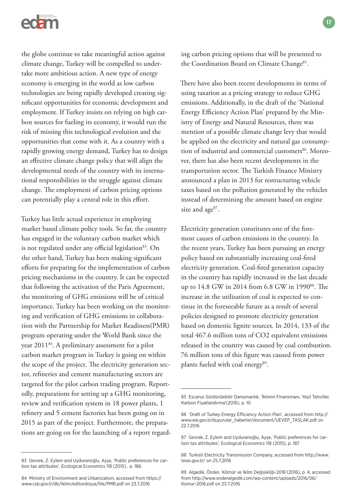

the globe continue to take meaningful action against climate change, Turkey will be compelled to undertake more ambitious action. A new type of energy economy is emerging in the world as low carbon technologies are being rapidly developed creating significant opportunities for economic development and employment. If Turkey insists on relying on high carbon sources for fueling its economy, it would run the risk of missing this technological evolution and the opportunities that come with it. As a country with a rapidly growing energy demand, Turkey has to design an effective climate change policy that will align the developmental needs of the country with its international responsibilities in the struggle against climate change. The employment of carbon pricing options can potentially play a central role in this effort.

Turkey has little actual experience in employing market based climate policy tools. So far, the country has engaged in the voluntary carbon market which is not regulated under any official legislation<sup>83</sup>. On the other hand, Turkey has been making significant efforts for preparing for the implementation of carbon pricing mechanisms in the country. It can be expected that following the activation of the Paris Agreement, the monitoring of GHG emissions will be of critical importance. Turkey has been working on the monitoring and verification of GHG emissions in collaboration with the Partnership for Market Readiness(PMR) program operating under the World Bank since the year 201184. A preliminary assessment for a pilot carbon market program in Turkey is going on within the scope of the project. The electricity generation sector, refineries and cement manufacturing sectors are targeted for the pilot carbon trading program. Reportedly, preparations for setting up a GHG monitoring, review and verification system in 18 power plants, 1 refinery and 5 cement factories has been going on in 2015 as part of the project. Furthermore, the preparations are going on for the launching of a report regarding carbon pricing options that will be presented to the Coordination Board on Climate Change<sup>85</sup>.

There have also been recent developments in terms of using taxation as a pricing strategy to reduce GHG emissions. Additionally, in the draft of the 'National Energy Efficiency Action Plan' prepared by the Ministry of Energy and Natural Resources, there was mention of a possible climate change levy that would be applied on the electricity and natural gas consumption of industrial and commercial customers<sup>86</sup>. Moreover, there has also been recent developments in the transportation sector. The Turkish Finance Ministry announced a plan in 2013 for restructuring vehicle taxes based on the pollution generated by the vehicles instead of determining the amount based on engine size and age<sup>87</sup>.

Electricity generation constitutes one of the foremost causes of carbon emissions in the country. In the recent years, Turkey has been pursuing an energy policy based on substantially increasing coal-fired electricity generation. Coal-fired generation capacity in the country has rapidly increased in the last decade up to 14.8 GW in 2014 from 6.8 GW in 1990<sup>88</sup>. The increase in the utilization of coal is expected to continue in the foreseeable future as a result of several policies designed to promote electricity generation based on domestic lignite sources. In 2014, 133 of the total 467.6 million tons of CO2 equivalent emissions released in the country was caused by coal combustion. 76 million tons of this figure was caused from power plants fueled with coal energy<sup>89</sup>.

<sup>83</sup> Gevrek, Z. Eylem and Uyduranoğlu, Ayşe, 'Public preferences for carbon tax attributes', Ecological Economics 118 (2015) , p. 186

<sup>84</sup> Ministry of Environment and Urbanization, accessed from https:// www.csb.gov.tr/db/iklim/editordosya/file/PMR.pdf on 23.7.2016

<sup>85</sup> Escarus Sürdürülebilir Danışmanlık, 'İklimin Finansmanı, Yeşil Tahviller, Karbon Fiyatlandırma'(2016), p. 10

<sup>86 &#</sup>x27;Draft of Turkey Energy Efficiency Action Plan', accessed from http:// www.eie.gov.tr/duyurular\_haberler/document/UEVEP\_TASLAK.pdf on 22.7.2016

<sup>87</sup> Gevrek, Z. Eylem and Uyduranoğlu, Ayşe, 'Public preferences for carbon tax attributes', Ecological Economics 118 (2015), p. 187

<sup>88</sup> Turkish Electricity Transmission Company, accessed from http://www. teias.gov.tr/ on 25.7.2016

<sup>89</sup> Algedik, Önder, 'Kömür ve İklim Değişikliği-2016'(2016), p. 4, accessed from http://www.onderalgedik.com/wp-content/uploads/2016/06/ Komur-2016.pdf on 23.7.2016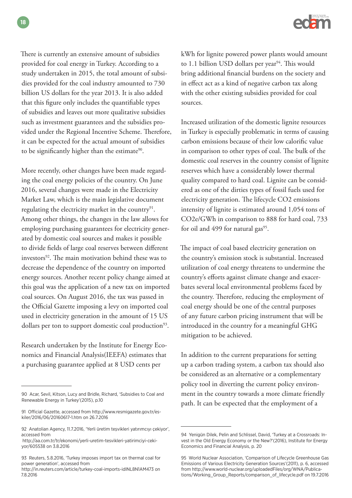There is currently an extensive amount of subsidies provided for coal energy in Turkey. According to a study undertaken in 2015, the total amount of subsidies provided for the coal industry amounted to 730 billion US dollars for the year 2013. It is also added that this figure only includes the quantifiable types of subsidies and leaves out more qualitative subsidies such as investment guarantees and the subsidies provided under the Regional Incentive Scheme. Therefore, it can be expected for the actual amount of subsidies to be significantly higher than the estimate<sup>90</sup>.

More recently, other changes have been made regarding the coal energy policies of the country. On June 2016, several changes were made in the Electricity Market Law, which is the main legislative document regulating the electricity market in the country<sup>91</sup>. Among other things, the changes in the law allows for employing purchasing guarantees for electricity generated by domestic coal sources and makes it possible to divide fields of large coal reserves between different investors<sup>92</sup>. The main motivation behind these was to decrease the dependence of the country on imported energy sources. Another recent policy change aimed at this goal was the application of a new tax on imported coal sources. On August 2016, the tax was passed in the Official Gazette imposing a levy on imported coal used in electricity generation in the amount of 15 US dollars per ton to support domestic coal production<sup>93</sup>.

Research undertaken by the Institute for Energy Economics and Financial Analysis(IEEFA) estimates that a purchasing guarantee applied at 8 USD cents per



kWh for lignite powered power plants would amount to 1.1 billion USD dollars per year<sup>94</sup>. This would bring additional financial burdens on the society and in effect act as a kind of negative carbon tax along with the other existing subsidies provided for coal sources.

Increased utilization of the domestic lignite resources in Turkey is especially problematic in terms of causing carbon emissions because of their low calorific value in comparison to other types of coal. The bulk of the domestic coal reserves in the country consist of lignite reserves which have a considerably lower thermal quality compared to hard coal. Lignite can be considered as one of the dirties types of fossil fuels used for electricity generation. The lifecycle CO2 emissions intensity of lignite is estimated around 1,054 tons of CO2e/GWh in comparison to 888 for hard coal, 733 for oil and 499 for natural gas<sup>95</sup>.

The impact of coal based electricity generation on the country's emission stock is substantial. Increased utilization of coal energy threatens to undermine the country's efforts against climate change and exacerbates several local environmental problems faced by the country. Therefore, reducing the employment of coal energy should be one of the central purposes of any future carbon pricing instrument that will be introduced in the country for a meaningful GHG mitigation to be achieved.

In addition to the current preparations for setting up a carbon trading system, a carbon tax should also be considered as an alternative or a complementary policy tool in diverting the current policy environment in the country towards a more climate friendly path. It can be expected that the employment of a

<sup>90</sup> Acar, Sevil, Kitson, Lucy and Bridle, Richard, 'Subsidies to Coal and Renewable Energy in Turkey'(2015), p.10

<sup>91</sup> Official Gazette, accessed from http://www.resmigazete.gov.tr/eskiler/2016/06/20160617-1.htm on 26.7.2016

<sup>92</sup> Anatolian Agency, 11.7.2016, 'Yerli üretim teşvikleri yatırımcıyı çekiyor', accessed from

http://aa.com.tr/tr/ekonomi/yerli-uretim-tesvikleri-yatirimciyi-cekiyor/605538 on 3.8.2016

<sup>93</sup> Reuters, 5.8.2016, 'Turkey imposes import tax on thermal coal for power generation', accessed from

http://in.reuters.com/article/turkey-coal-imports-idINL8N1AM473 on 7.8.2016

<sup>94</sup> Yenigün Dilek, Pelin and Schlissel, David, 'Turkey at a Crossroads: Invest in the Old Energy Economy or the New?'(2016), Institute for Energy Economics and Financial Analysis, p. 20

<sup>95</sup> World Nuclear Association, 'Comparison of Lifecycle Greenhouse Gas Emissions of Various Electricity Generation Sources'(2011), p. 6, accessed from http://www.world-nuclear.org/uploadedFiles/org/WNA/Publications/Working\_Group\_Reports/comparison\_of\_lifecycle.pdf on 19.7.2016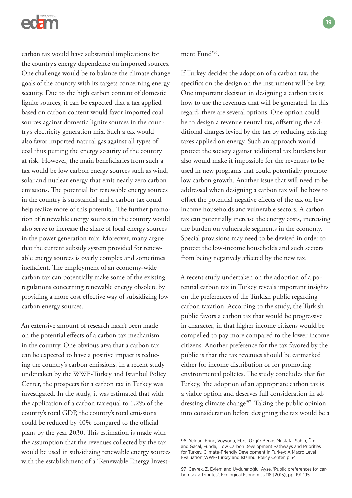

carbon tax would have substantial implications for the country's energy dependence on imported sources. One challenge would be to balance the climate change goals of the country with its targets concerning energy security. Due to the high carbon content of domestic lignite sources, it can be expected that a tax applied based on carbon content would favor imported coal sources against domestic lignite sources in the country's electricity generation mix. Such a tax would also favor imported natural gas against all types of coal thus putting the energy security of the country at risk. However, the main beneficiaries from such a tax would be low carbon energy sources such as wind, solar and nuclear energy that emit nearly zero carbon emissions. The potential for renewable energy sources in the country is substantial and a carbon tax could help realize more of this potential. The further promotion of renewable energy sources in the country would also serve to increase the share of local energy sources in the power generation mix. Moreover, many argue that the current subsidy system provided for renewable energy sources is overly complex and sometimes inefficient. The employment of an economy-wide carbon tax can potentially make some of the existing regulations concerning renewable energy obsolete by providing a more cost effective way of subsidizing low carbon energy sources.

An extensive amount of research hasn't been made on the potential effects of a carbon tax mechanism in the country. One obvious area that a carbon tax can be expected to have a positive impact is reducing the country's carbon emissions. In a recent study undertaken by the WWF-Turkey and Istanbul Policy Center, the prospects for a carbon tax in Turkey was investigated. In the study, it was estimated that with the application of a carbon tax equal to 1,2% of the country's total GDP, the country's total emissions could be reduced by 40% compared to the official plans by the year 2030. This estimation is made with the assumption that the revenues collected by the tax would be used in subsidizing renewable energy sources with the establishment of a 'Renewable Energy Investment Fund'96.

If Turkey decides the adoption of a carbon tax, the specifics on the design on the instrument will be key. One important decision in designing a carbon tax is how to use the revenues that will be generated. In this regard, there are several options. One option could be to design a revenue neutral tax, offsetting the additional charges levied by the tax by reducing existing taxes applied on energy. Such an approach would protect the society against additional tax burdens but also would make it impossible for the revenues to be used in new programs that could potentially promote low carbon growth. Another issue that will need to be addressed when designing a carbon tax will be how to offset the potential negative effects of the tax on low income households and vulnerable sectors. A carbon tax can potentially increase the energy costs, increasing the burden on vulnerable segments in the economy. Special provisions may need to be devised in order to protect the low-income households and such sectors from being negatively affected by the new tax.

A recent study undertaken on the adoption of a potential carbon tax in Turkey reveals important insights on the preferences of the Turkish public regarding carbon taxation. According to the study, the Turkish public favors a carbon tax that would be progressive in character, in that higher income citizens would be compelled to pay more compared to the lower income citizens. Another preference for the tax favored by the public is that the tax revenues should be earmarked either for income distribution or for promoting environmental policies. The study concludes that for Turkey, 'the adoption of an appropriate carbon tax is a viable option and deserves full consideration in addressing climate change'97. Taking the public opinion into consideration before designing the tax would be a

<sup>96</sup> Yeldan, Erinç, Voyvoda, Ebru, Özgür Berke, Mustafa, Şahin, Ümit and Gacal, Funda, 'Low Carbon Development Pathways and Priorities for Turkey, Climate-Friendly Development in Turkey: A Macro Level Evaluation',WWF-Turkey and Istanbul Policy Center, p.54

<sup>97</sup> Gevrek, Z. Eylem and Uyduranoğlu, Ayşe, 'Public preferences for carbon tax attributes', Ecological Economics 118 (2015), pp. 191-195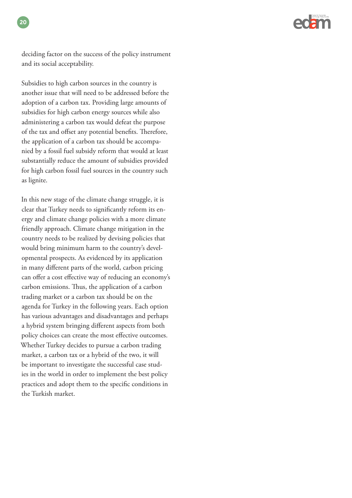

deciding factor on the success of the policy instrument and its social acceptability.

**20**

Subsidies to high carbon sources in the country is another issue that will need to be addressed before the adoption of a carbon tax. Providing large amounts of subsidies for high carbon energy sources while also administering a carbon tax would defeat the purpose of the tax and offset any potential benefits. Therefore, the application of a carbon tax should be accompanied by a fossil fuel subsidy reform that would at least substantially reduce the amount of subsidies provided for high carbon fossil fuel sources in the country such as lignite.

In this new stage of the climate change struggle, it is clear that Turkey needs to significantly reform its energy and climate change policies with a more climate friendly approach. Climate change mitigation in the country needs to be realized by devising policies that would bring minimum harm to the country's developmental prospects. As evidenced by its application in many different parts of the world, carbon pricing can offer a cost effective way of reducing an economy's carbon emissions. Thus, the application of a carbon trading market or a carbon tax should be on the agenda for Turkey in the following years. Each option has various advantages and disadvantages and perhaps a hybrid system bringing different aspects from both policy choices can create the most effective outcomes. Whether Turkey decides to pursue a carbon trading market, a carbon tax or a hybrid of the two, it will be important to investigate the successful case studies in the world in order to implement the best policy practices and adopt them to the specific conditions in the Turkish market.